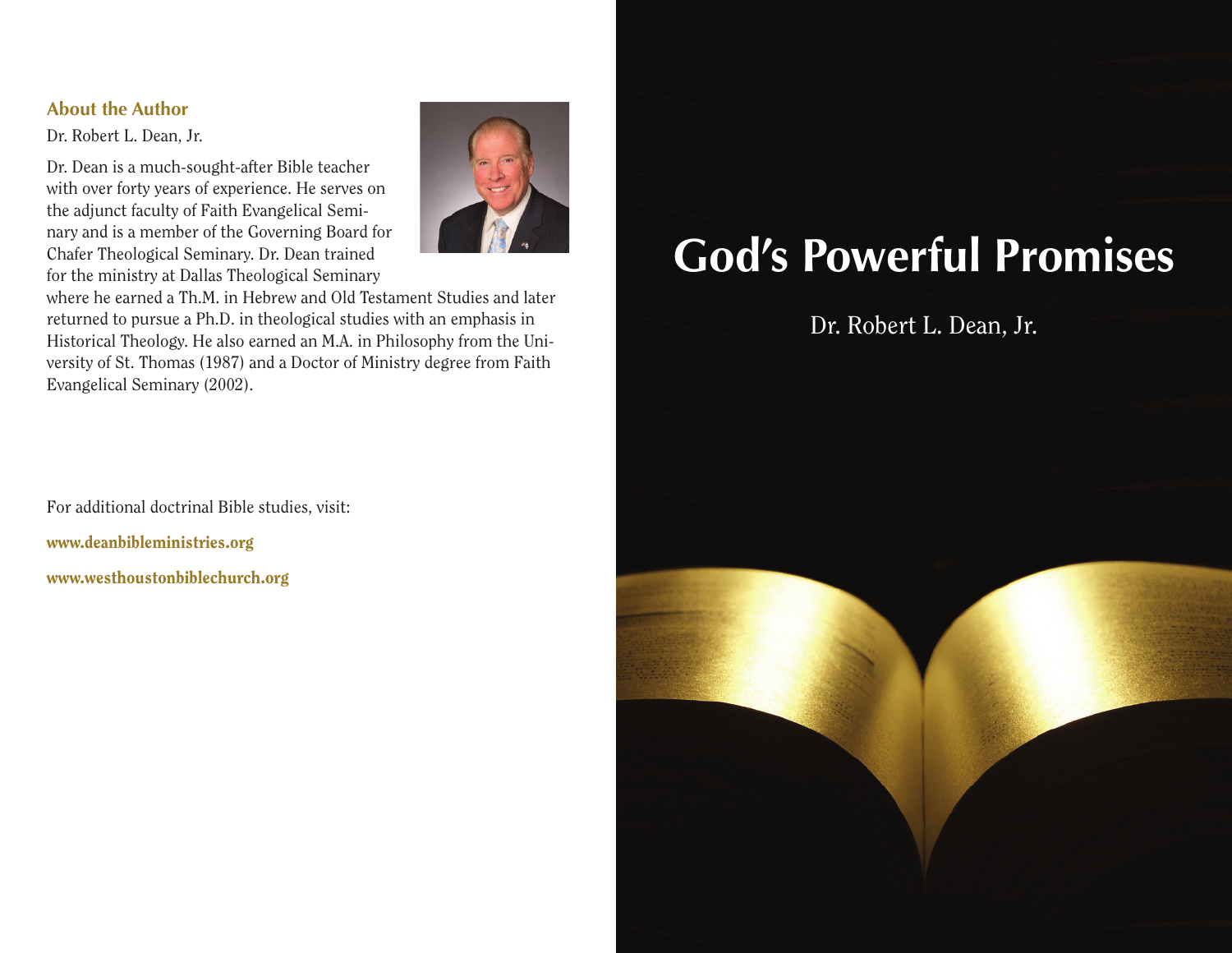## **About the Author**

Dr. Robert L. Dean, Jr.

Dr. Dean is a much-sought-after Bible teacher with over forty years of experience. He serves on the adjunct faculty of Faith Evangelical Seminary and is a member of the Governing Board for Chafer Theological Seminary. Dr. Dean trained for the ministry at Dallas Theological Seminary



where he earned a Th.M. in Hebrew and Old Testament Studies and later returned to pursue a Ph.D. in theological studies with an emphasis in Historical Theology. He also earned an M.A. in Philosophy from the University of St. Thomas (1987) and a Doctor of Ministry degree from Faith Evangelical Seminary (2002).

For additional doctrinal Bible studies, visit: www.deanbibleministries.org

www.westhoustonbiblechurch.org

# **God's Powerful Promises**

Dr. Robert L. Dean, Jr.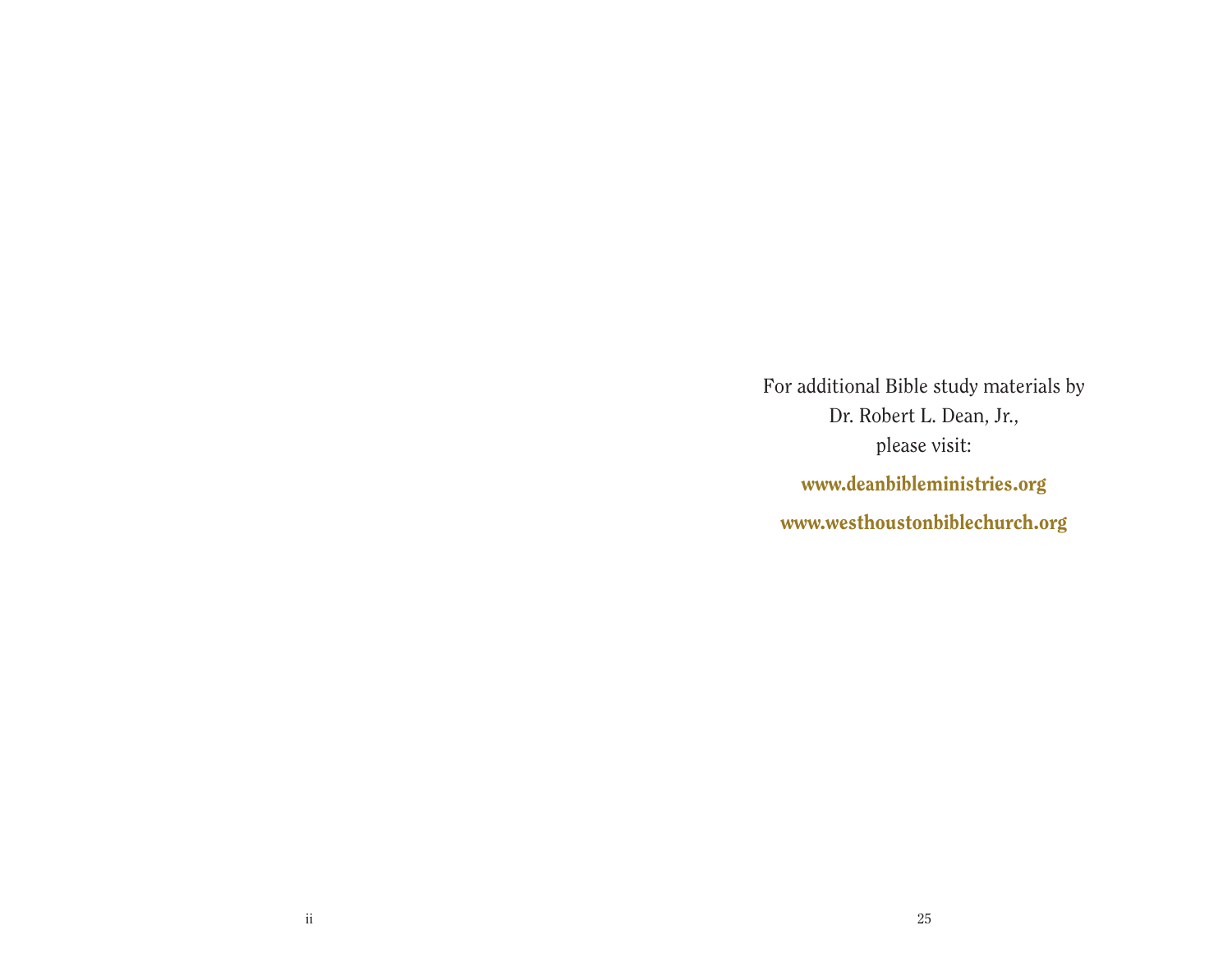For additional Bible study materials by Dr. Robert L. Dean, Jr., please visit: www.deanbibleministries.org www.westhoustonbiblechurch.org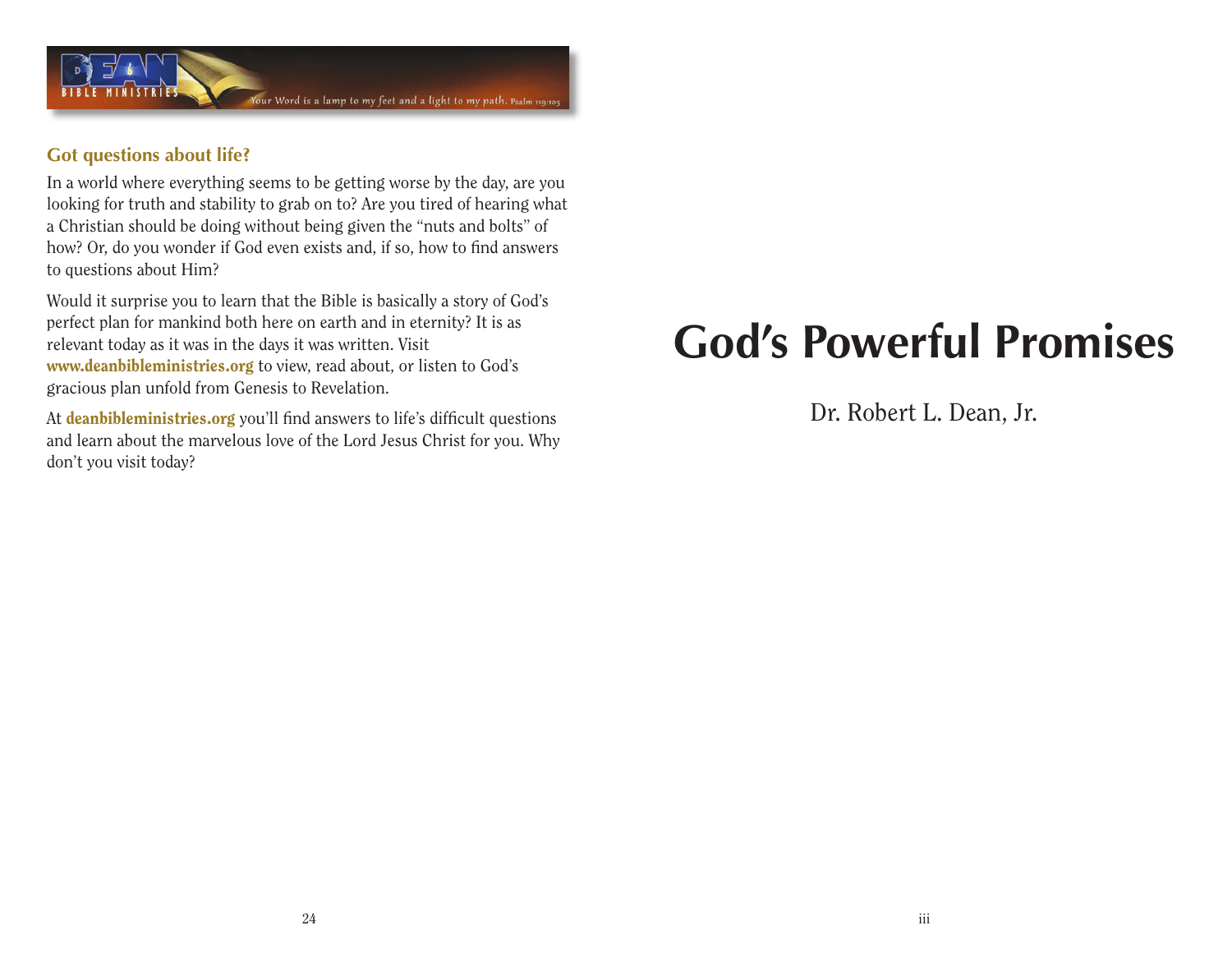

## **Got questions about life?**

In a world where everything seems to be getting worse by the day, are you looking for truth and stability to grab on to? Are you tired of hearing what a Christian should be doing without being given the "nuts and bolts" of how? Or, do you wonder if God even exists and, if so, how to find answers to questions about Him?

Would it surprise you to learn that the Bible is basically a story of God's perfect plan for mankind both here on earth and in eternity? It is as relevant today as it was in the days it was written. Visit www.deanbibleministries.org to view, read about, or listen to God's gracious plan unfold from Genesis to Revelation.

At **deanbibleministries.org** you'll find answers to life's difficult questions and learn about the marvelous love of the Lord Jesus Christ for you. Why don't you visit today?

# **God's Powerful Promises**

Dr. Robert L. Dean, Jr.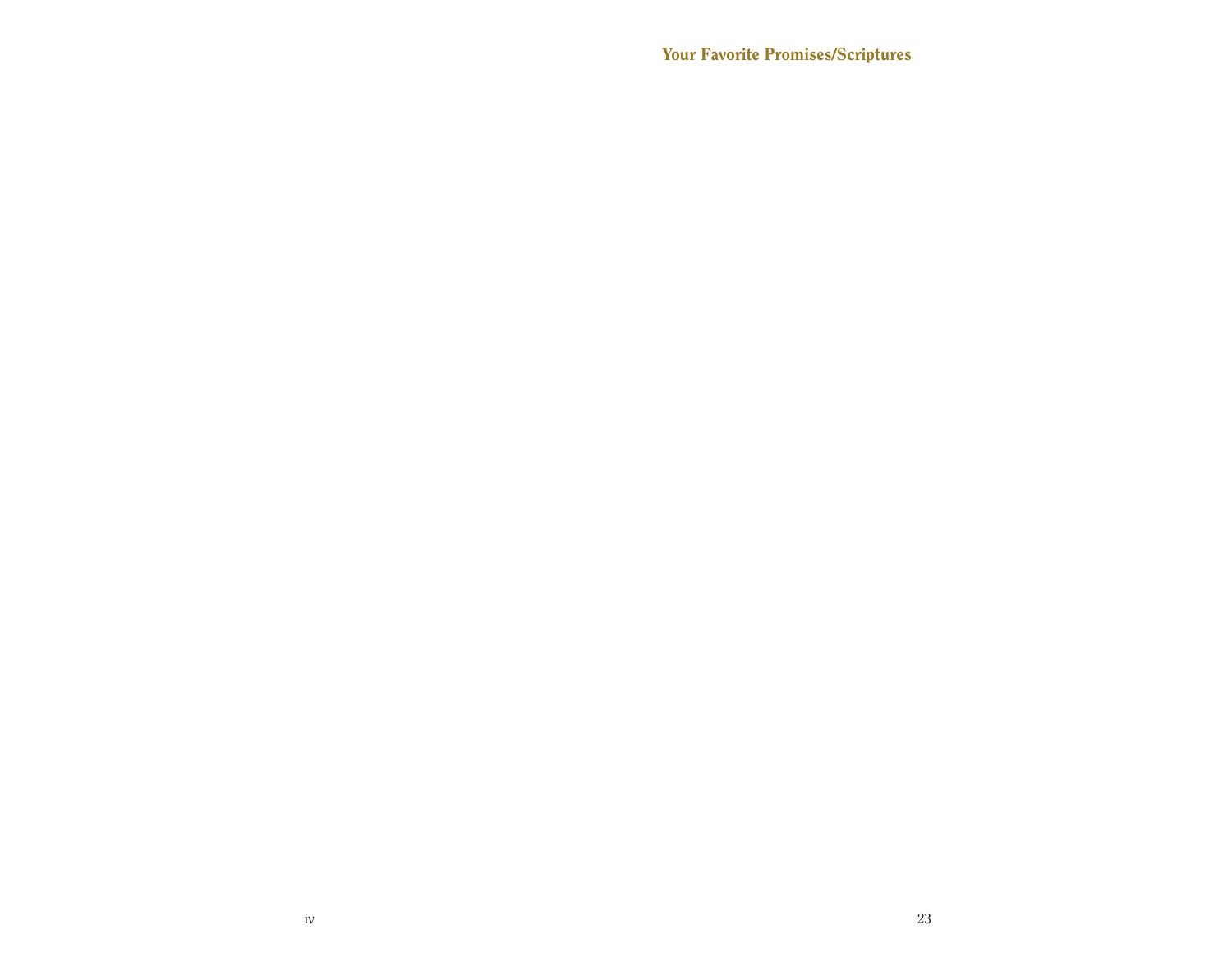Your Favorite Promises/Scriptures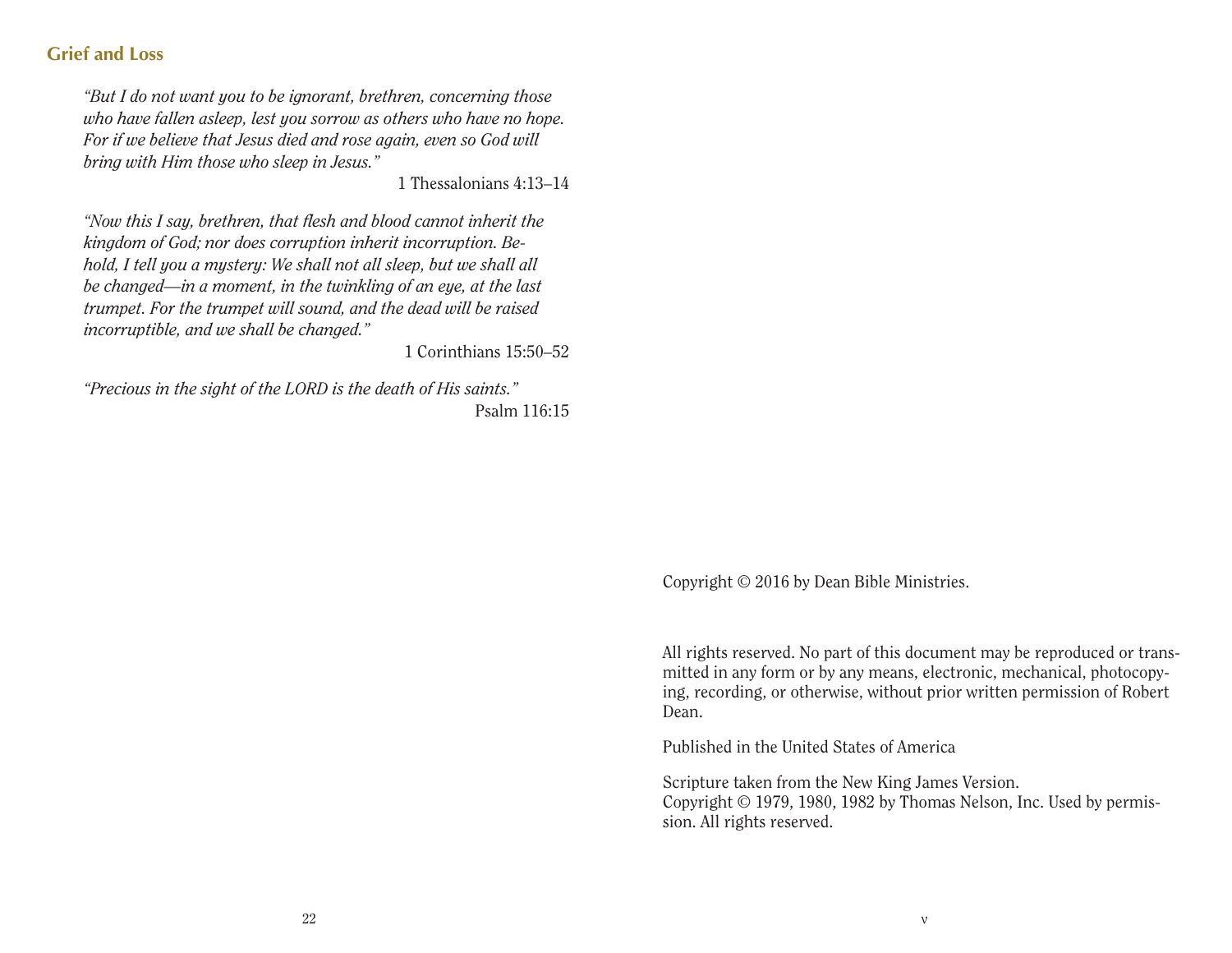# **Grief and Loss**

*"But I do not want you to be ignorant, brethren, concerning those who have fallen asleep, lest you sorrow as others who have no hope. For if we believe that Jesus died and rose again, even so God will bring with Him those who sleep in Jesus."*

1 Thessalonians 4:13–14

*"Now this I say, brethren, that flesh and blood cannot inherit the kingdom of God; nor does corruption inherit incorruption. Behold, I tell you a mystery: We shall not all sleep, but we shall all be changed—in a moment, in the twinkling of an eye, at the last trumpet. For the trumpet will sound, and the dead will be raised incorruptible, and we shall be changed."*

1 Corinthians 15:50–52

*"Precious in the sight of the LORD is the death of His saints."* Psalm 116:15

Copyright © 2016 by Dean Bible Ministries.

All rights reserved. No part of this document may be reproduced or transmitted in any form or by any means, electronic, mechanical, photocopying, recording, or otherwise, without prior written permission of Robert Dean.

Published in the United States of America

Scripture taken from the New King James Version. Copyright © 1979, 1980, 1982 by Thomas Nelson, Inc. Used by permission. All rights reserved.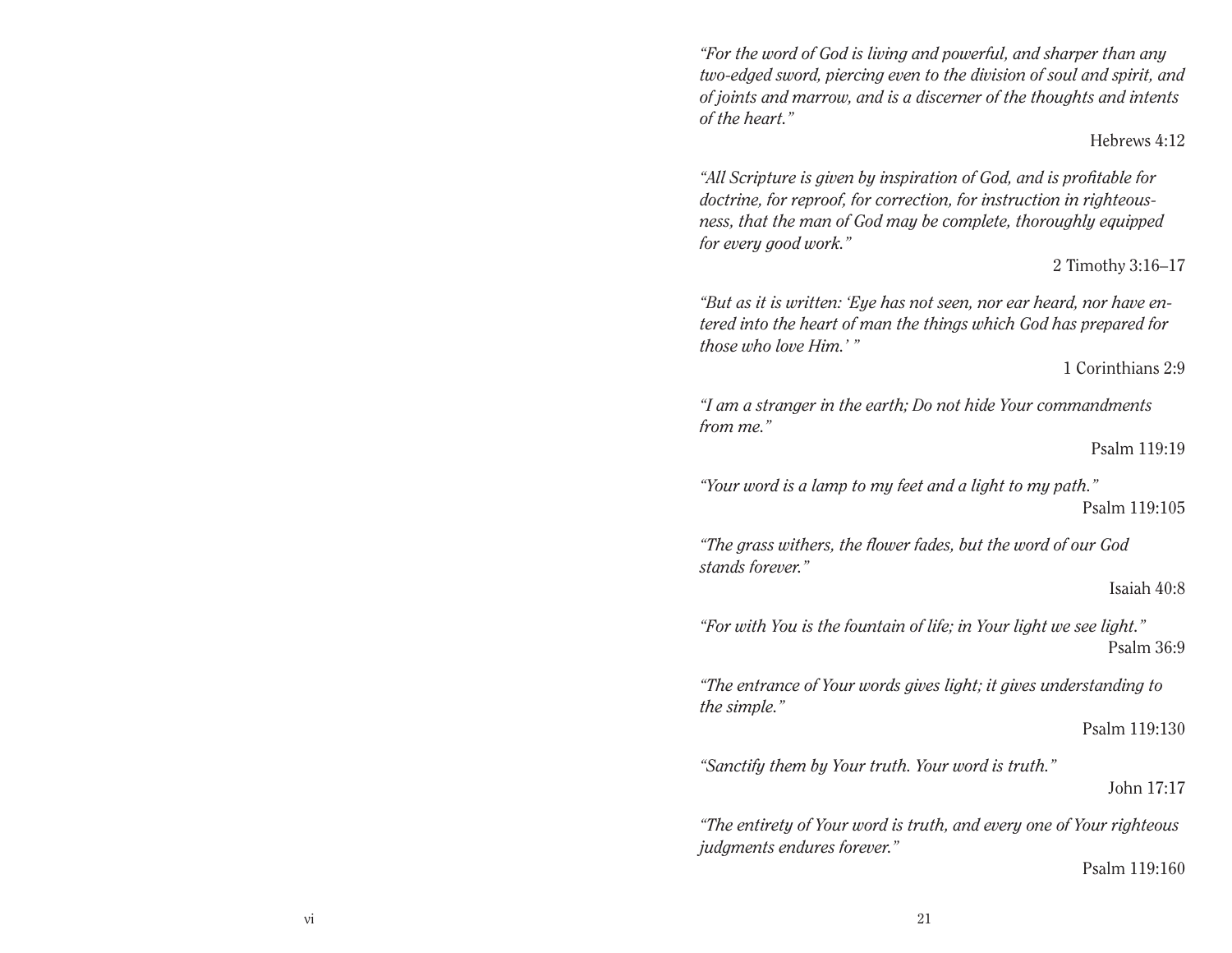*"For the word of God is living and powerful, and sharper than any two-edged sword, piercing even to the division of soul and spirit, and of joints and marrow, and is a discerner of the thoughts and intents of the heart."*

Hebrews 4:12

*"All Scripture is given by inspiration of God, and is profi table for doctrine, for reproof, for correction, for instruction in righteousness, that the man of God may be complete, thoroughly equipped for every good work."*

2 Timothy 3:16–17

*"But as it is written: 'Eye has not seen, nor ear heard, nor have entered into the heart of man the things which God has prepared for those who love Him.' "*

#### 1 Corinthians 2:9

*"I am a stranger in the earth; Do not hide Your commandments from me."*

#### Psalm 119:19

*"Your word is a lamp to my feet and a light to my path."*

Psalm 119:105

*"The grass withers, the flower fades, but the word of our God stands forever."*

#### Isaiah 40:8

*"For with You is the fountain of life; in Your light we see light."* Psalm 36:9

*"The entrance of Your words gives light; it gives understanding to the simple."*

#### Psalm 119:130

*"Sanctify them by Your truth. Your word is truth."*

John 17:17

*"The entirety of Your word is truth, and every one of Your righteous judgments endures forever."*

Psalm 119:160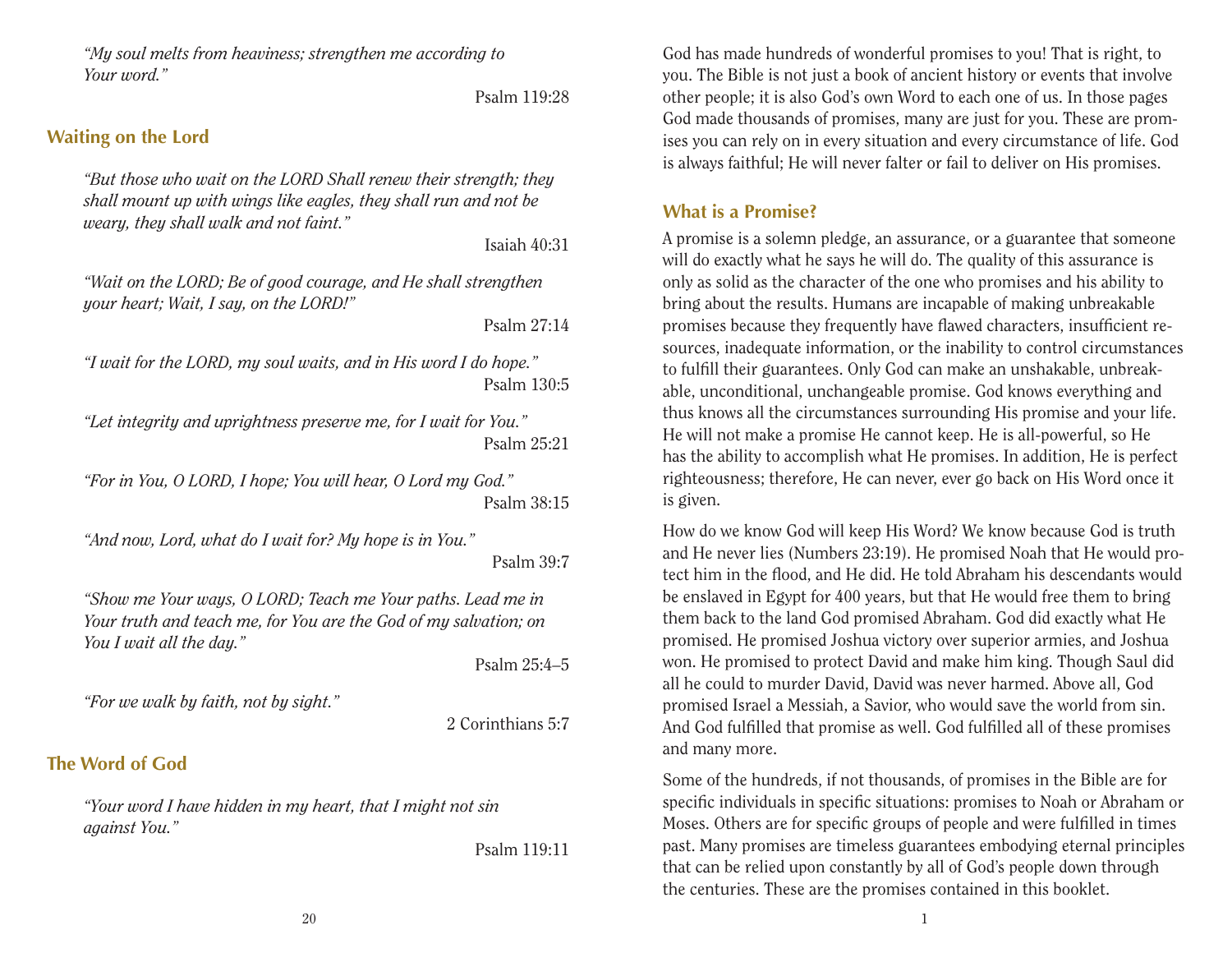20

*"My soul melts from heaviness; strengthen me according to Your word."*

Psalm 119:28

# **Waiting on the Lord**

*"But those who wait on the LORD Shall renew their strength; they shall mount up with wings like eagles, they shall run and not be weary, they shall walk and not faint."*

Isaiah 40:31

*"Wait on the LORD; Be of good courage, and He shall strengthen your heart; Wait, I say, on the LORD!"*

Psalm 27:14

*"I wait for the LORD, my soul waits, and in His word I do hope."* Psalm 130:5

*"Let integrity and uprightness preserve me, for I wait for You."* Psalm 25:21

*"For in You, O LORD, I hope; You will hear, O Lord my God."* Psalm 38:15

*"And now, Lord, what do I wait for? My hope is in You."*

Psalm 39:7

*"Show me Your ways, O LORD; Teach me Your paths. Lead me in Your truth and teach me, for You are the God of my salvation; on You I wait all the day."*

Psalm 25:4–5

*"For we walk by faith, not by sight."*

2 Corinthians 5:7

# **The Word of God**

*"Your word I have hidden in my heart, that I might not sin against You."*

Psalm 119:11

God has made hundreds of wonderful promises to you! That is right, to you. The Bible is not just a book of ancient history or events that involve other people; it is also God's own Word to each one of us. In those pages God made thousands of promises, many are just for you. These are promises you can rely on in every situation and every circumstance of life. God is always faithful; He will never falter or fail to deliver on His promises.

# **What is a Promise?**

A promise is a solemn pledge, an assurance, or a guarantee that someone will do exactly what he says he will do. The quality of this assurance is only as solid as the character of the one who promises and his ability to bring about the results. Humans are incapable of making unbreakable promises because they frequently have flawed characters, insufficient resources, inadequate information, or the inability to control circumstances to fulfill their guarantees. Only God can make an unshakable, unbreakable, unconditional, unchangeable promise. God knows everything and thus knows all the circumstances surrounding His promise and your life. He will not make a promise He cannot keep. He is all-powerful, so He has the ability to accomplish what He promises. In addition, He is perfect righteousness; therefore, He can never, ever go back on His Word once it is given.

How do we know God will keep His Word? We know because God is truth and He never lies (Numbers 23:19). He promised Noah that He would protect him in the flood, and He did. He told Abraham his descendants would be enslaved in Egypt for 400 years, but that He would free them to bring them back to the land God promised Abraham. God did exactly what He promised. He promised Joshua victory over superior armies, and Joshua won. He promised to protect David and make him king. Though Saul did all he could to murder David, David was never harmed. Above all, God promised Israel a Messiah, a Savior, who would save the world from sin. And God fulfilled that promise as well. God fulfilled all of these promises and many more.

Some of the hundreds, if not thousands, of promises in the Bible are for specific individuals in specific situations: promises to Noah or Abraham or Moses. Others are for specific groups of people and were fulfilled in times past. Many promises are timeless guarantees embodying eternal principles that can be relied upon constantly by all of God's people down through the centuries. These are the promises contained in this booklet.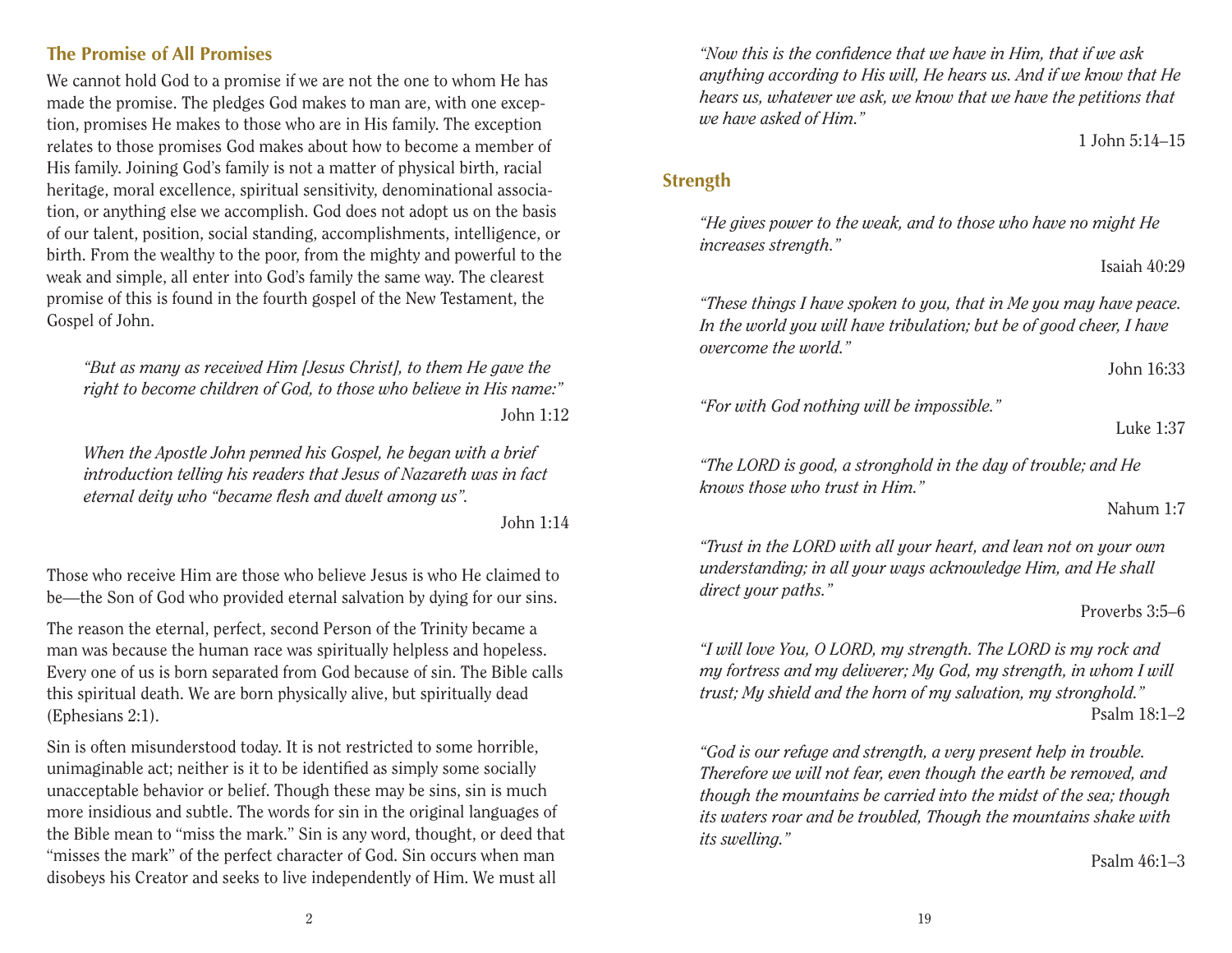## **The Promise of All Promises**

We cannot hold God to a promise if we are not the one to whom He has made the promise. The pledges God makes to man are, with one exception, promises He makes to those who are in His family. The exception relates to those promises God makes about how to become a member of His family. Joining God's family is not a matter of physical birth, racial heritage, moral excellence, spiritual sensitivity, denominational association, or anything else we accomplish. God does not adopt us on the basis of our talent, position, social standing, accomplishments, intelligence, or birth. From the wealthy to the poor, from the mighty and powerful to the weak and simple, all enter into God's family the same way. The clearest promise of this is found in the fourth gospel of the New Testament, the Gospel of John.

*"But as many as received Him [Jesus Christ], to them He gave the right to become children of God, to those who believe in His name:"*  John 1:12

*When the Apostle John penned his Gospel, he began with a brief introduction telling his readers that Jesus of Nazareth was in fact eternal deity who "became flesh and dwelt among us".* 

John 1:14

Those who receive Him are those who believe Jesus is who He claimed to be—the Son of God who provided eternal salvation by dying for our sins.

The reason the eternal, perfect, second Person of the Trinity became a man was because the human race was spiritually helpless and hopeless. Every one of us is born separated from God because of sin. The Bible calls this spiritual death. We are born physically alive, but spiritually dead (Ephesians 2:1).

Sin is often misunderstood today. It is not restricted to some horrible, unimaginable act; neither is it to be identified as simply some socially unacceptable behavior or belief. Though these may be sins, sin is much more insidious and subtle. The words for sin in the original languages of the Bible mean to "miss the mark." Sin is any word, thought, or deed that "misses the mark" of the perfect character of God. Sin occurs when man disobeys his Creator and seeks to live independently of Him. We must all

*"Now this is the confi dence that we have in Him, that if we ask anything according to His will, He hears us. And if we know that He hears us, whatever we ask, we know that we have the petitions that we have asked of Him."*

1 John 5:14–15

## **Strength**

*"He gives power to the weak, and to those who have no might He increases strength."*

Isaiah 40:29

*"These things I have spoken to you, that in Me you may have peace. In the world you will have tribulation; but be of good cheer, I have overcome the world."*

John 16:33

*"For with God nothing will be impossible."*

Luke 1:37

*"The LORD is good, a stronghold in the day of trouble; and He knows those who trust in Him."*

Nahum 1:7

*"Trust in the LORD with all your heart, and lean not on your own understanding; in all your ways acknowledge Him, and He shall direct your paths."*

#### Proverbs 3:5–6

*"I will love You, O LORD, my strength. The LORD is my rock and my fortress and my deliverer; My God, my strength, in whom I will trust; My shield and the horn of my salvation, my stronghold."* Psalm 18:1–2

*"God is our refuge and strength, a very present help in trouble. Therefore we will not fear, even though the earth be removed, and though the mountains be carried into the midst of the sea; though its waters roar and be troubled, Though the mountains shake with its swelling."*

Psalm 46:1–3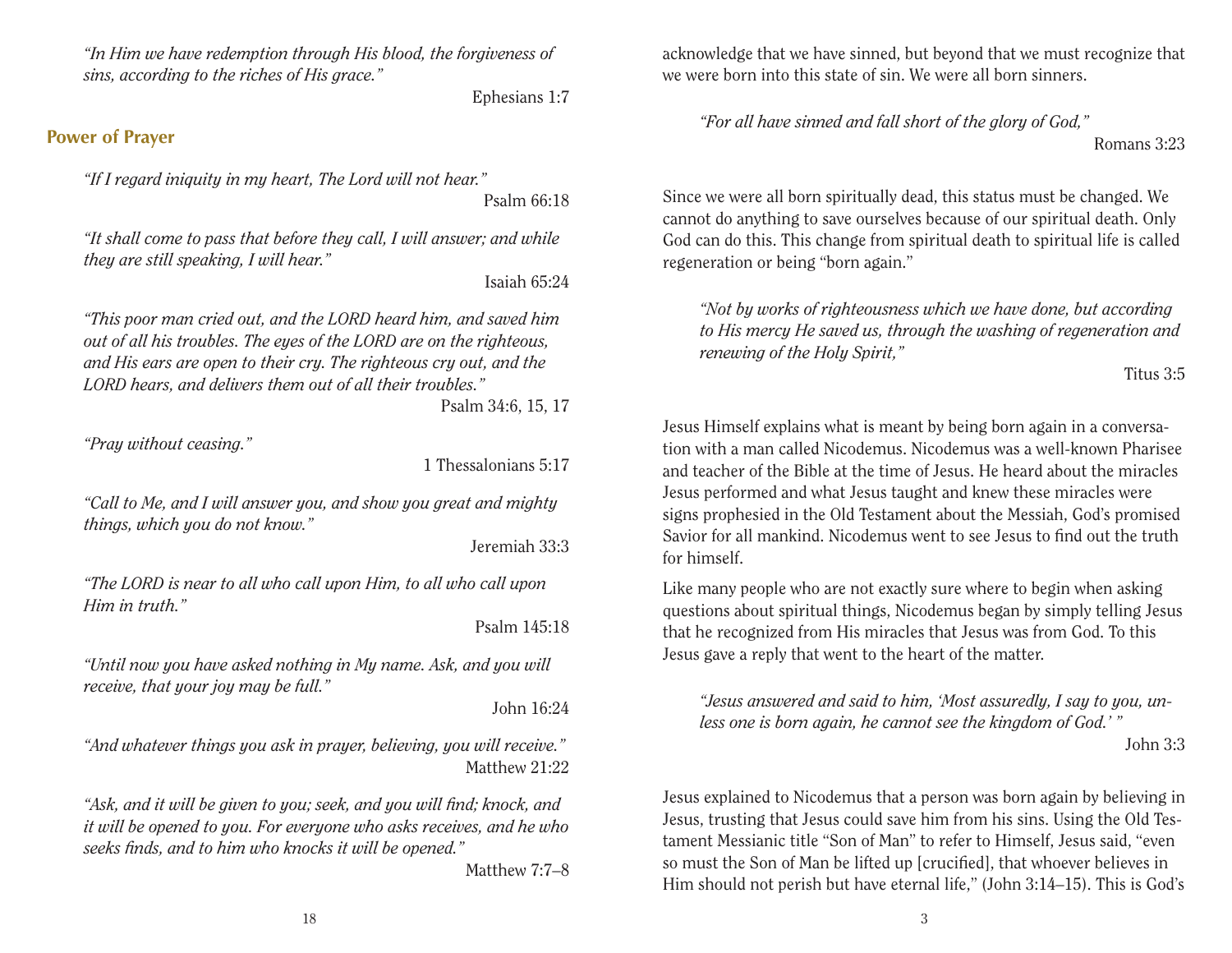*"In Him we have redemption through His blood, the forgiveness of sins, according to the riches of His grace."*

Ephesians 1:7

## **Power of Prayer**

*"If I regard iniquity in my heart, The Lord will not hear."* Psalm 66:18

*"It shall come to pass that before they call, I will answer; and while they are still speaking, I will hear."*

Isaiah 65:24

*"This poor man cried out, and the LORD heard him, and saved him out of all his troubles. The eyes of the LORD are on the righteous, and His ears are open to their cry. The righteous cry out, and the LORD hears, and delivers them out of all their troubles."*

Psalm 34:6, 15, 17

*"Pray without ceasing."*

1 Thessalonians 5:17

*"Call to Me, and I will answer you, and show you great and mighty things, which you do not know."*

Jeremiah 33:3

*"The LORD is near to all who call upon Him, to all who call upon Him in truth."*

Psalm 145:18

*"Until now you have asked nothing in My name. Ask, and you will receive, that your joy may be full."*

John 16:24

*"And whatever things you ask in prayer, believing, you will receive."* Matthew 21:22

"Ask, and it will be given to you; seek, and you will find; knock, and *it will be opened to you. For everyone who asks receives, and he who*  seeks finds, and to him who knocks it will be opened."

Matthew 7:7–8

acknowledge that we have sinned, but beyond that we must recognize that we were born into this state of sin. We were all born sinners.

*"For all have sinned and fall short of the glory of God,"* 

Romans 3:23

Since we were all born spiritually dead, this status must be changed. We cannot do anything to save ourselves because of our spiritual death. Only God can do this. This change from spiritual death to spiritual life is called regeneration or being "born again."

*"Not by works of righteousness which we have done, but according to His mercy He saved us, through the washing of regeneration and renewing of the Holy Spirit,"*

Titus 3:5

Jesus Himself explains what is meant by being born again in a conversation with a man called Nicodemus. Nicodemus was a well-known Pharisee and teacher of the Bible at the time of Jesus. He heard about the miracles Jesus performed and what Jesus taught and knew these miracles were signs prophesied in the Old Testament about the Messiah, God's promised Savior for all mankind. Nicodemus went to see Jesus to find out the truth for himself.

Like many people who are not exactly sure where to begin when asking questions about spiritual things, Nicodemus began by simply telling Jesus that he recognized from His miracles that Jesus was from God. To this Jesus gave a reply that went to the heart of the matter.

*"Jesus answered and said to him, 'Most assuredly, I say to you, unless one is born again, he cannot see the kingdom of God.' "*

John 3:3

Jesus explained to Nicodemus that a person was born again by believing in Jesus, trusting that Jesus could save him from his sins. Using the Old Testament Messianic title "Son of Man" to refer to Himself, Jesus said, "even so must the Son of Man be lifted up [crucified], that whoever believes in Him should not perish but have eternal life," (John 3:14–15). This is God's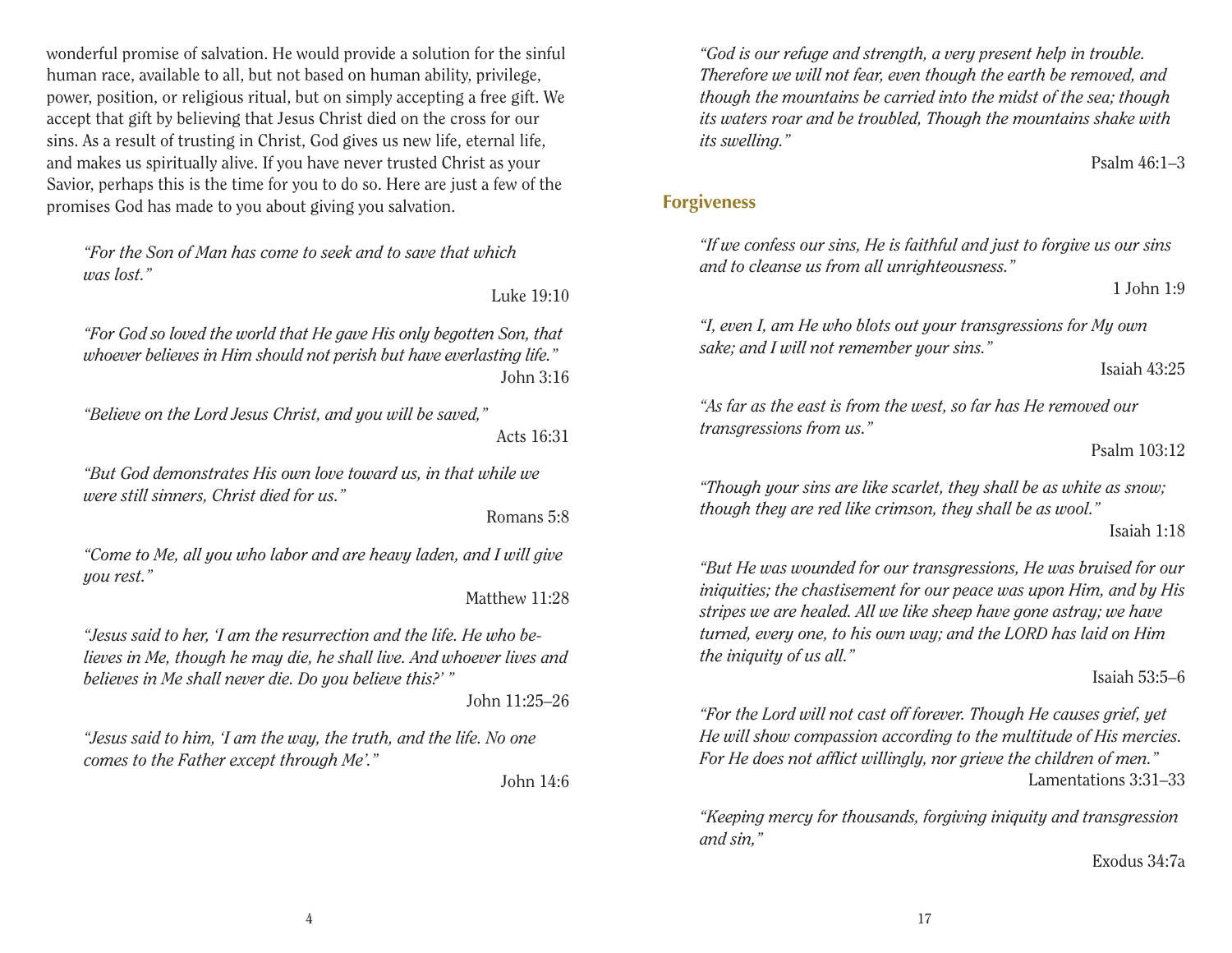wonderful promise of salvation. He would provide a solution for the sinful human race, available to all, but not based on human ability, privilege, power, position, or religious ritual, but on simply accepting a free gift. We accept that gift by believing that Jesus Christ died on the cross for our sins. As a result of trusting in Christ, God gives us new life, eternal life, and makes us spiritually alive. If you have never trusted Christ as your Savior, perhaps this is the time for you to do so. Here are just a few of the promises God has made to you about giving you salvation.

*"For the Son of Man has come to seek and to save that which was lost."* 

Luke 19:10

*"For God so loved the world that He gave His only begotten Son, that whoever believes in Him should not perish but have everlasting life."*  John 3:16

*"Believe on the Lord Jesus Christ, and you will be saved,"* Acts 16:31

*"But God demonstrates His own love toward us, in that while we were still sinners, Christ died for us."*

Romans 5:8

*"Come to Me, all you who labor and are heavy laden, and I will give you rest."*

Matthew 11:28

*"Jesus said to her, 'I am the resurrection and the life. He who believes in Me, though he may die, he shall live. And whoever lives and believes in Me shall never die. Do you believe this?' "*

John 11:25–26

*"Jesus said to him, 'I am the way, the truth, and the life. No one comes to the Father except through Me'."*

John 14:6

*"God is our refuge and strength, a very present help in trouble. Therefore we will not fear, even though the earth be removed, and though the mountains be carried into the midst of the sea; though its waters roar and be troubled, Though the mountains shake with its swelling."*

Psalm 46:1–3

### **Forgiveness**

*"If we confess our sins, He is faithful and just to forgive us our sins and to cleanse us from all unrighteousness."*

1 John 1:9

*"I, even I, am He who blots out your transgressions for My own sake; and I will not remember your sins."*

Isaiah 43:25

*"As far as the east is from the west, so far has He removed our transgressions from us."*

#### Psalm 103:12

*"Though your sins are like scarlet, they shall be as white as snow; though they are red like crimson, they shall be as wool."*

Isaiah 1:18

*"But He was wounded for our transgressions, He was bruised for our iniquities; the chastisement for our peace was upon Him, and by His stripes we are healed. All we like sheep have gone astray; we have turned, every one, to his own way; and the LORD has laid on Him the iniquity of us all."*

Isaiah 53:5–6

*"For the Lord will not cast off forever. Though He causes grief, yet He will show compassion according to the multitude of His mercies.*  For He does not afflict willingly, nor grieve the children of men." Lamentations 3:31–33

*"Keeping mercy for thousands, forgiving iniquity and transgression and sin,"*

Exodus 34:7a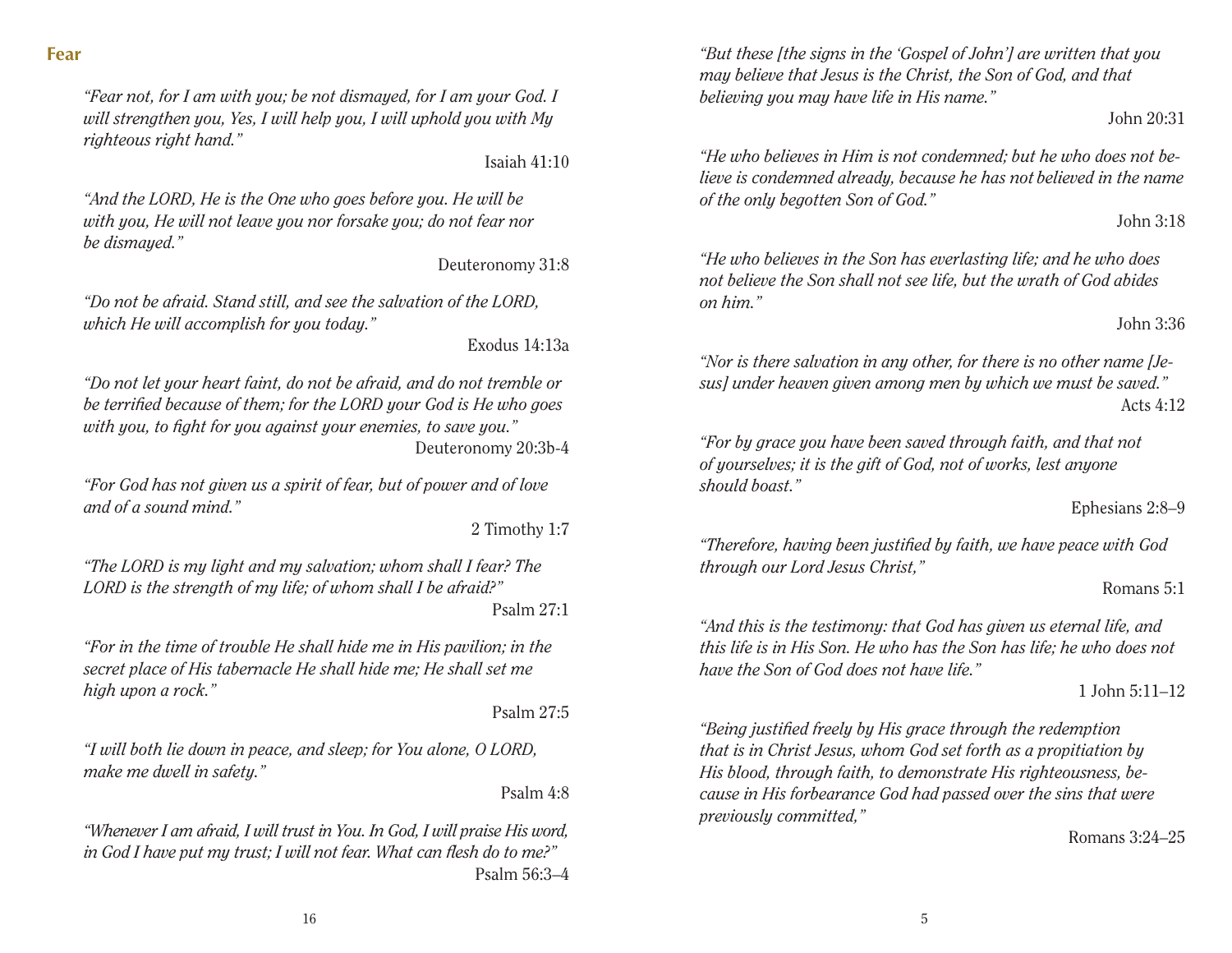*"Fear not, for I am with you; be not dismayed, for I am your God. I will strengthen you, Yes, I will help you, I will uphold you with My righteous right hand."*

Isaiah 41:10

*"And the LORD, He is the One who goes before you. He will be with you, He will not leave you nor forsake you; do not fear nor be dismayed."*

Deuteronomy 31:8

*"Do not be afraid. Stand still, and see the salvation of the LORD, which He will accomplish for you today."*

Exodus 14:13a

*"Do not let your heart faint, do not be afraid, and do not tremble or be terrified because of them; for the LORD your God is He who goes with you, to fight for you against your enemies, to save you.*" Deuteronomy 20:3b-4

*"For God has not given us a spirit of fear, but of power and of love and of a sound mind."*

2 Timothy 1:7

*"The LORD is my light and my salvation; whom shall I fear? The LORD is the strength of my life; of whom shall I be afraid?"* Psalm 27:1

*"For in the time of trouble He shall hide me in His pavilion; in the secret place of His tabernacle He shall hide me; He shall set me high upon a rock."*

Psalm 27:5

*"I will both lie down in peace, and sleep; for You alone, O LORD, make me dwell in safety."*

Psalm 4:8

*"Whenever I am afraid, I will trust in You. In God, I will praise His word, in God I have put my trust; I will not fear. What can flesh do to me?"* Psalm 56:3–4

*"But these [the signs in the 'Gospel of John'] are written that you may believe that Jesus is the Christ, the Son of God, and that believing you may have life in His name."*

John 20:31

*"He who believes in Him is not condemned; but he who does not believe is condemned already, because he has not believed in the name of the only begotten Son of God."*

### John 3:18

*"He who believes in the Son has everlasting life; and he who does not believe the Son shall not see life, but the wrath of God abides on him."*

John 3:36

*"Nor is there salvation in any other, for there is no other name [Jesus] under heaven given among men by which we must be saved."* Acts 4:12

*"For by grace you have been saved through faith, and that not of yourselves; it is the gift of God, not of works, lest anyone should boast."*

Ephesians 2:8–9

*"Therefore, having been justified by faith, we have peace with God through our Lord Jesus Christ,"*

#### Romans 5:1

*"And this is the testimony: that God has given us eternal life, and this life is in His Son. He who has the Son has life; he who does not have the Son of God does not have life."*

#### 1 John 5:11–12

*"Being justified freely by His grace through the redemption that is in Christ Jesus, whom God set forth as a propitiation by His blood, through faith, to demonstrate His righteousness, because in His forbearance God had passed over the sins that were previously committed,"*

Romans 3:24–25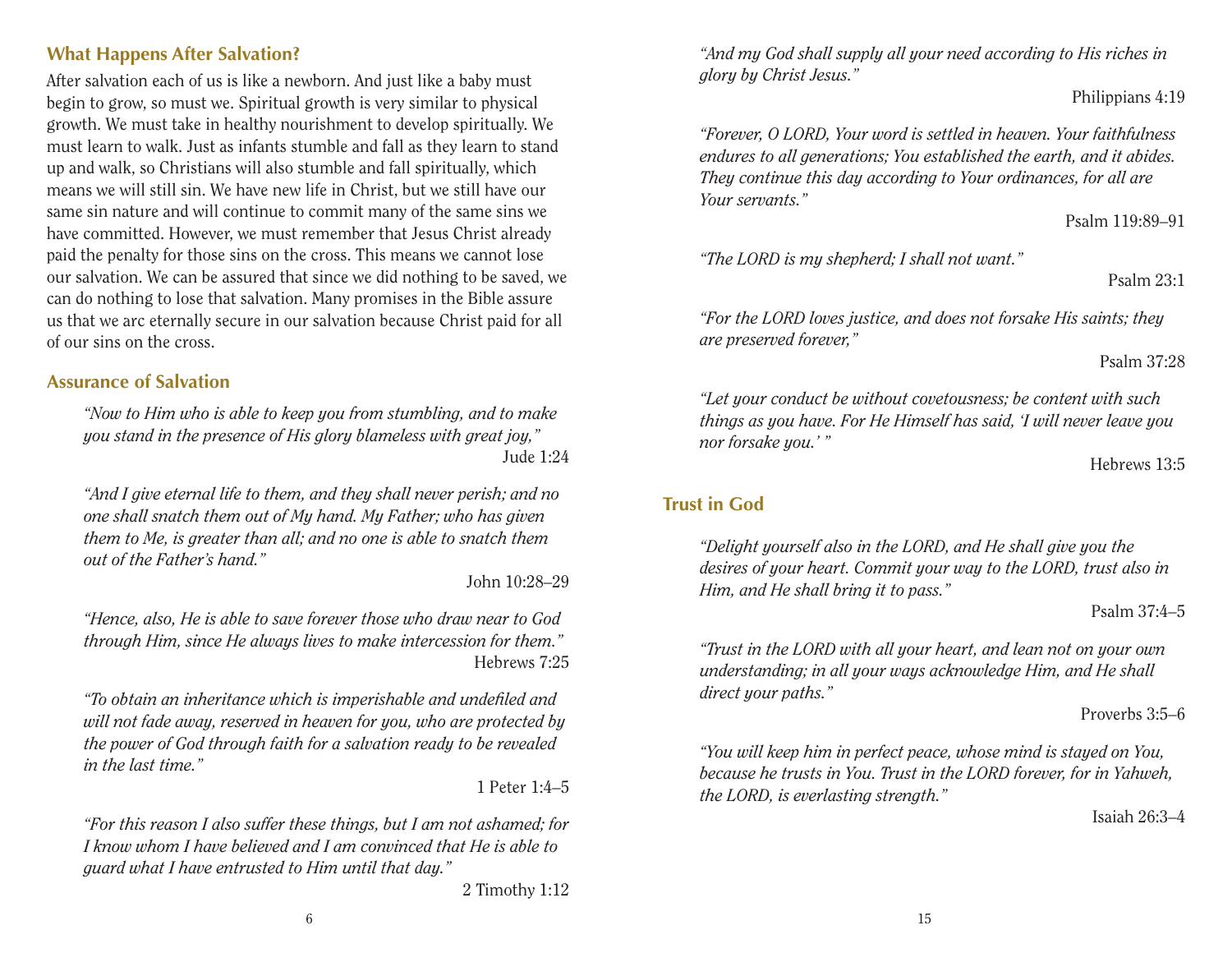## **What Happens After Salvation?**

After salvation each of us is like a newborn. And just like a baby must begin to grow, so must we. Spiritual growth is very similar to physical growth. We must take in healthy nourishment to develop spiritually. We must learn to walk. Just as infants stumble and fall as they learn to stand up and walk, so Christians will also stumble and fall spiritually, which means we will still sin. We have new life in Christ, but we still have our same sin nature and will continue to commit many of the same sins we have committed. However, we must remember that Jesus Christ already paid the penalty for those sins on the cross. This means we cannot lose our salvation. We can be assured that since we did nothing to be saved, we can do nothing to lose that salvation. Many promises in the Bible assure us that we arc eternally secure in our salvation because Christ paid for all of our sins on the cross.

## **Assurance of Salvation**

*"Now to Him who is able to keep you from stumbling, and to make you stand in the presence of His glory blameless with great joy,"* Jude 1:24

*"And I give eternal life to them, and they shall never perish; and no one shall snatch them out of My hand. My Father; who has given them to Me, is greater than all; and no one is able to snatch them out of the Father's hand."*

John 10:28–29

*"Hence, also, He is able to save forever those who draw near to God through Him, since He always lives to make intercession for them."* Hebrews 7:25

*"To obtain an inheritance which is imperishable and undefi led and will not fade away, reserved in heaven for you, who are protected by the power of God through faith for a salvation ready to be revealed in the last time."*

1 Peter 1:4–5

*"For this reason I also suffer these things, but I am not ashamed; for I know whom I have believed and I am convinced that He is able to guard what I have entrusted to Him until that day."*

2 Timothy 1:12

*"And my God shall supply all your need according to His riches in glory by Christ Jesus."*

Philippians 4:19

*"Forever, O LORD, Your word is settled in heaven. Your faithfulness endures to all generations; You established the earth, and it abides. They continue this day according to Your ordinances, for all are Your servants."*

Psalm 119:89–91

*"The LORD is my shepherd; I shall not want."*

Psalm 23:1

*"For the LORD loves justice, and does not forsake His saints; they are preserved forever,"*

Psalm 37:28

*"Let your conduct be without covetousness; be content with such things as you have. For He Himself has said, 'I will never leave you nor forsake you.' "*

Hebrews 13:5

# **Trust in God**

*"Delight yourself also in the LORD, and He shall give you the desires of your heart. Commit your way to the LORD, trust also in Him, and He shall bring it to pass."*

Psalm 37:4–5

*"Trust in the LORD with all your heart, and lean not on your own understanding; in all your ways acknowledge Him, and He shall direct your paths."*

Proverbs 3:5–6

*"You will keep him in perfect peace, whose mind is stayed on You, because he trusts in You. Trust in the LORD forever, for in Yahweh, the LORD, is everlasting strength."*

Isaiah 26:3–4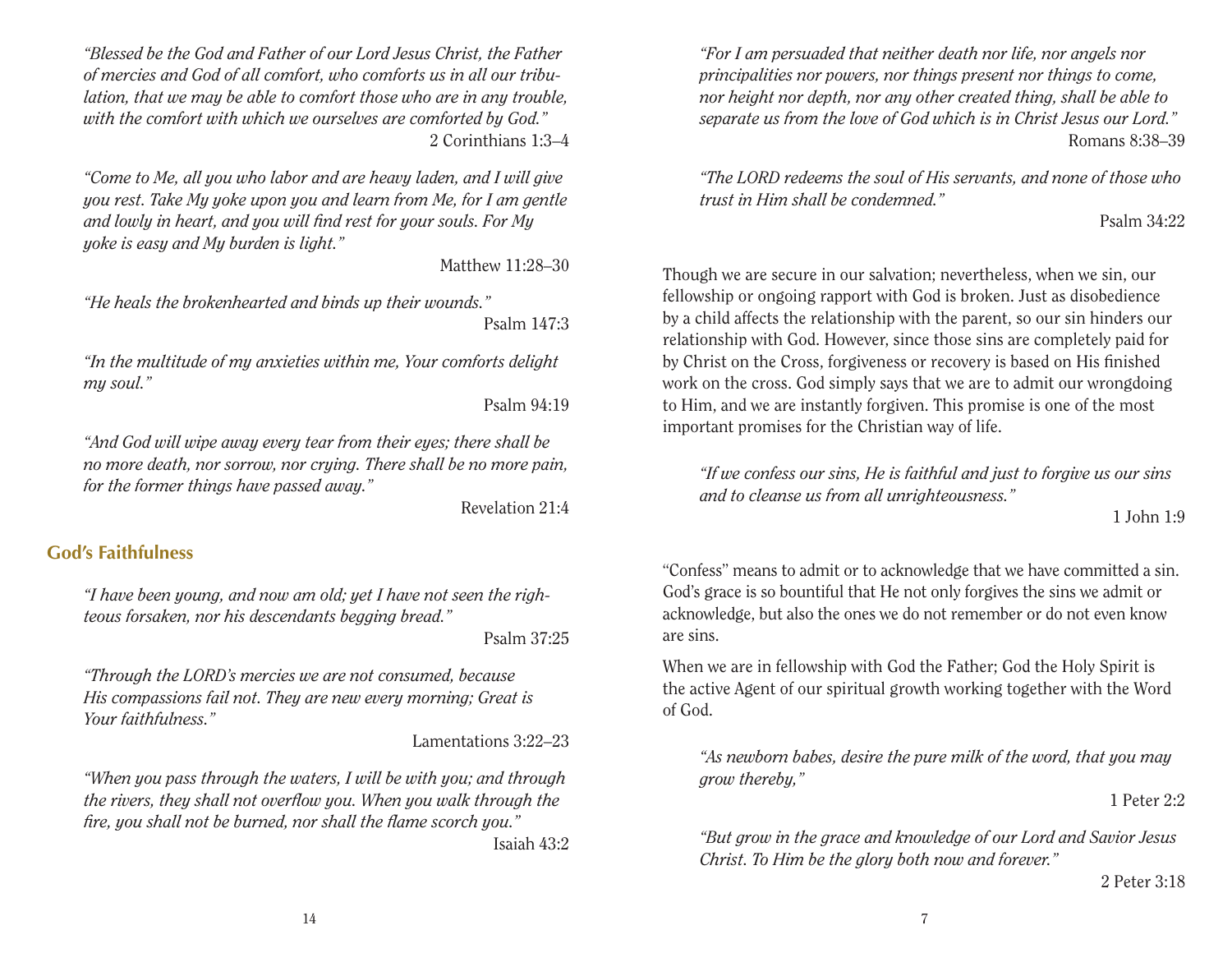*"Blessed be the God and Father of our Lord Jesus Christ, the Father of mercies and God of all comfort, who comforts us in all our tribulation, that we may be able to comfort those who are in any trouble, with the comfort with which we ourselves are comforted by God."* 2 Corinthians 1:3–4

*"Come to Me, all you who labor and are heavy laden, and I will give you rest. Take My yoke upon you and learn from Me, for I am gentle and lowly in heart, and you will find rest for your souls. For My yoke is easy and My burden is light."*

Matthew 11:28–30

*"He heals the brokenhearted and binds up their wounds."* Psalm 147:3

*"In the multitude of my anxieties within me, Your comforts delight my soul."*

Psalm 94:19

*"And God will wipe away every tear from their eyes; there shall be no more death, nor sorrow, nor crying. There shall be no more pain, for the former things have passed away."*

Revelation 21:4

## **God's Faithfulness**

*"I have been young, and now am old; yet I have not seen the righteous forsaken, nor his descendants begging bread."*

Psalm 37:25

*"Through the LORD's mercies we are not consumed, because His compassions fail not. They are new every morning; Great is Your faithfulness."*

Lamentations 3:22–23

*"When you pass through the waters, I will be with you; and through the rivers, they shall not overflow you. When you walk through the fire, you shall not be burned, nor shall the flame scorch you.*"

Isaiah 43:2

*"For I am persuaded that neither death nor life, nor angels nor principalities nor powers, nor things present nor things to come, nor height nor depth, nor any other created thing, shall be able to separate us from the love of God which is in Christ Jesus our Lord."* Romans 8:38–39

*"The LORD redeems the soul of His servants, and none of those who trust in Him shall be condemned."*

Psalm 34:22

Though we are secure in our salvation; nevertheless, when we sin, our fellowship or ongoing rapport with God is broken. Just as disobedience by a child affects the relationship with the parent, so our sin hinders our relationship with God. However, since those sins are completely paid for by Christ on the Cross, forgiveness or recovery is based on His finished work on the cross. God simply says that we are to admit our wrongdoing to Him, and we are instantly forgiven. This promise is one of the most important promises for the Christian way of life.

*"If we confess our sins, He is faithful and just to forgive us our sins and to cleanse us from all unrighteousness."*

1 John 1:9

"Confess" means to admit or to acknowledge that we have committed a sin. God's grace is so bountiful that He not only forgives the sins we admit or acknowledge, but also the ones we do not remember or do not even know are sins.

When we are in fellowship with God the Father; God the Holy Spirit is the active Agent of our spiritual growth working together with the Word of God.

*"As newborn babes, desire the pure milk of the word, that you may grow thereby,"*

1 Peter 2:2

*"But grow in the grace and knowledge of our Lord and Savior Jesus Christ. To Him be the glory both now and forever."*

2 Peter 3:18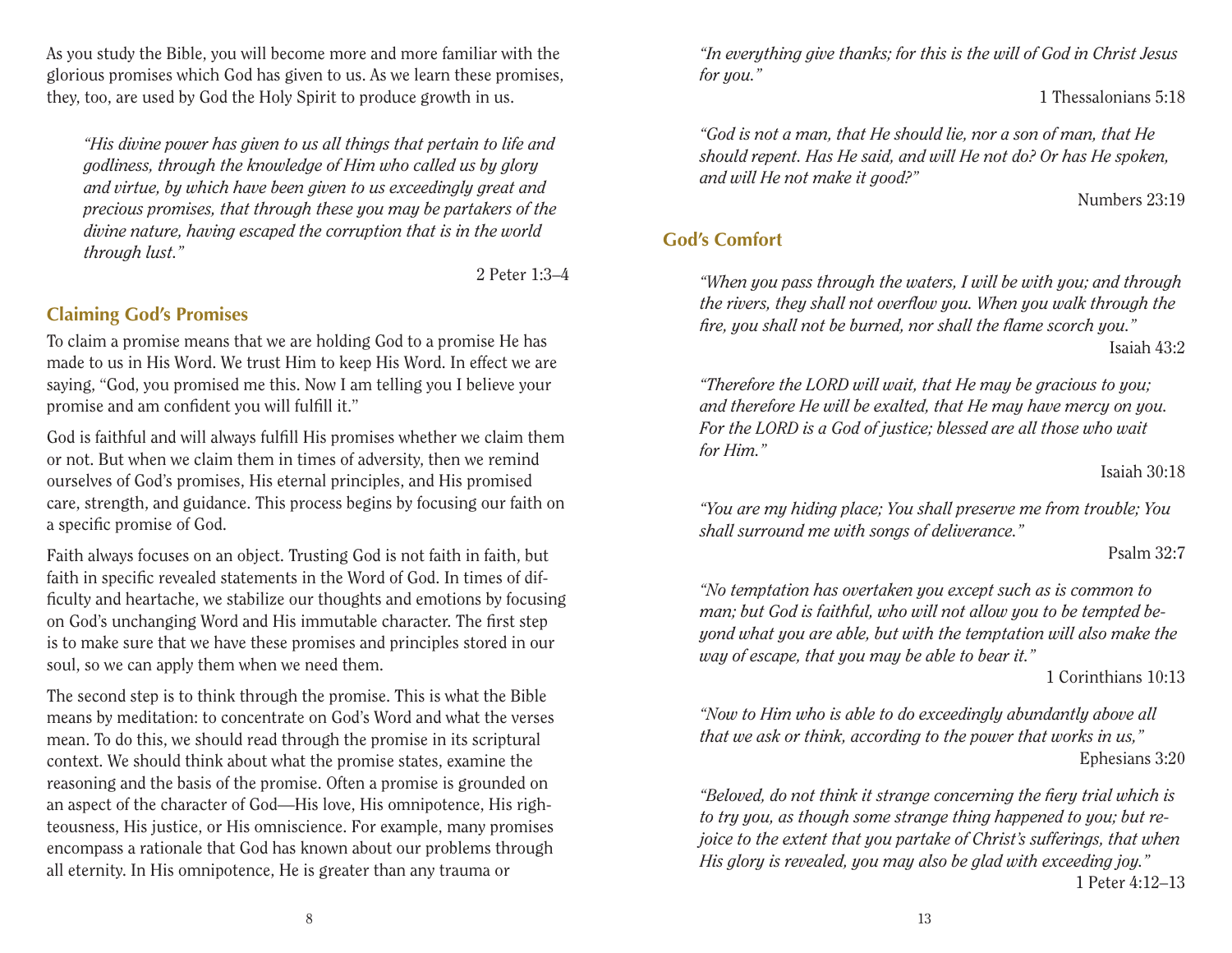As you study the Bible, you will become more and more familiar with the glorious promises which God has given to us. As we learn these promises, they, too, are used by God the Holy Spirit to produce growth in us.

*"His divine power has given to us all things that pertain to life and godliness, through the knowledge of Him who called us by glory and virtue, by which have been given to us exceedingly great and precious promises, that through these you may be partakers of the divine nature, having escaped the corruption that is in the world through lust."*

2 Peter 1:3–4

# **Claiming God's Promises**

To claim a promise means that we are holding God to a promise He has made to us in His Word. We trust Him to keep His Word. In effect we are saying, "God, you promised me this. Now I am telling you I believe your promise and am confident you will fulfill it."

God is faithful and will always fulfill His promises whether we claim them or not. But when we claim them in times of adversity, then we remind ourselves of God's promises, His eternal principles, and His promised care, strength, and guidance. This process begins by focusing our faith on a specific promise of God.

Faith always focuses on an object. Trusting God is not faith in faith, but faith in specific revealed statements in the Word of God. In times of difficulty and heartache, we stabilize our thoughts and emotions by focusing on God's unchanging Word and His immutable character. The first step is to make sure that we have these promises and principles stored in our soul, so we can apply them when we need them.

The second step is to think through the promise. This is what the Bible means by meditation: to concentrate on God's Word and what the verses mean. To do this, we should read through the promise in its scriptural context. We should think about what the promise states, examine the reasoning and the basis of the promise. Often a promise is grounded on an aspect of the character of God—His love, His omnipotence, His righteousness, His justice, or His omniscience. For example, many promises encompass a rationale that God has known about our problems through all eternity. In His omnipotence, He is greater than any trauma or

*"In everything give thanks; for this is the will of God in Christ Jesus for you."*

1 Thessalonians 5:18

*"God is not a man, that He should lie, nor a son of man, that He should repent. Has He said, and will He not do? Or has He spoken, and will He not make it good?"*

Numbers 23:19

# **God's Comfort**

*"When you pass through the waters, I will be with you; and through the rivers, they shall not overflow you. When you walk through the fire, you shall not be burned, nor shall the flame scorch you.*"

Isaiah 43:2

*"Therefore the LORD will wait, that He may be gracious to you; and therefore He will be exalted, that He may have mercy on you. For the LORD is a God of justice; blessed are all those who wait for Him."*

#### Isaiah 30:18

*"You are my hiding place; You shall preserve me from trouble; You shall surround me with songs of deliverance."*

Psalm 32:7

*"No temptation has overtaken you except such as is common to man; but God is faithful, who will not allow you to be tempted beyond what you are able, but with the temptation will also make the way of escape, that you may be able to bear it."*

1 Corinthians 10:13

*"Now to Him who is able to do exceedingly abundantly above all that we ask or think, according to the power that works in us,"* Ephesians 3:20

*"Beloved, do not think it strange concerning the fiery trial which is to try you, as though some strange thing happened to you; but rejoice to the extent that you partake of Christ's sufferings, that when His glory is revealed, you may also be glad with exceeding joy."* 1 Peter 4:12–13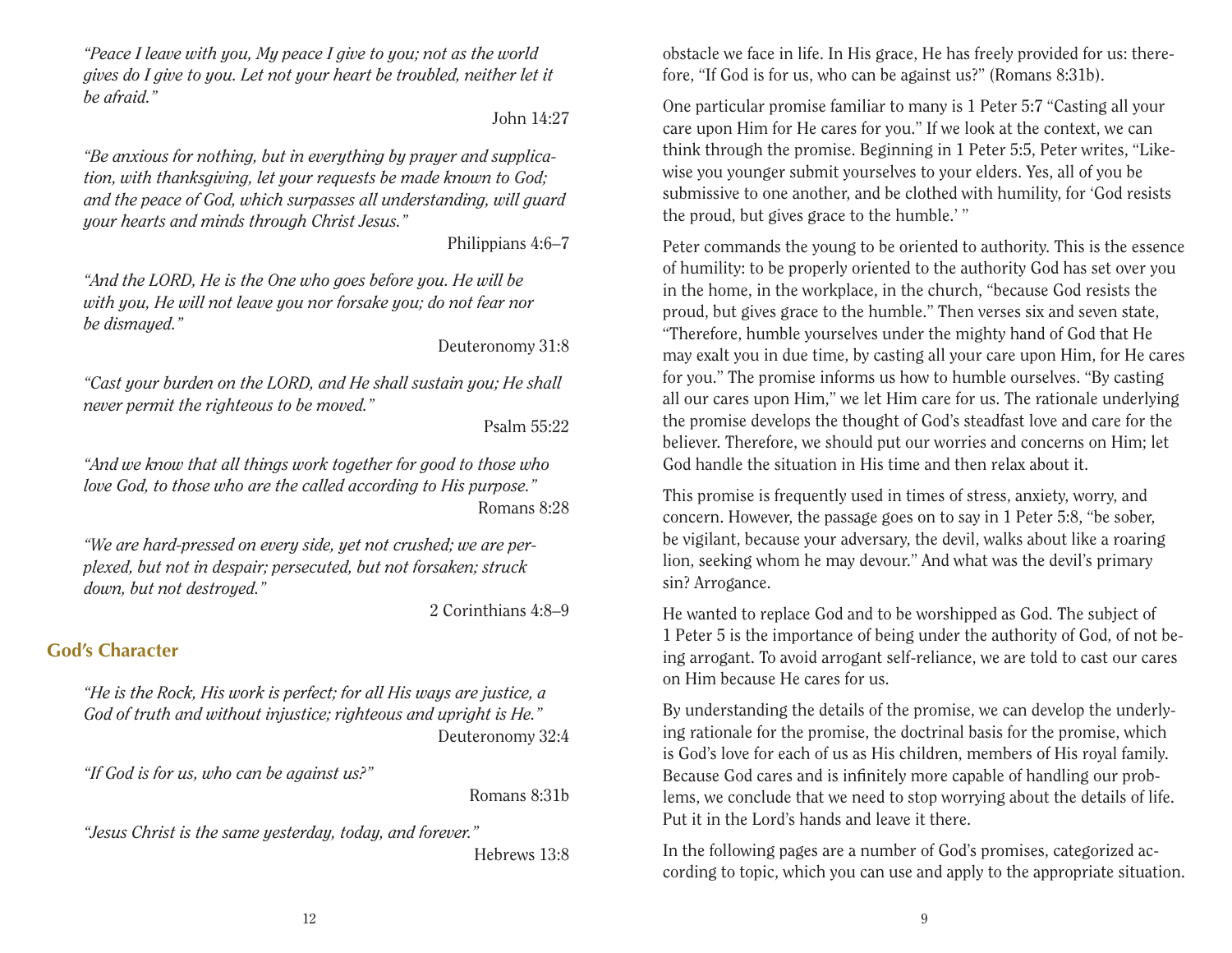*"Peace I leave with you, My peace I give to you; not as the world gives do I give to you. Let not your heart be troubled, neither let it be afraid."*

## John 14:27

*"Be anxious for nothing, but in everything by prayer and supplication, with thanksgiving, let your requests be made known to God; and the peace of God, which surpasses all understanding, will guard your hearts and minds through Christ Jesus."*

## Philippians 4:6–7

*"And the LORD, He is the One who goes before you. He will be with you, He will not leave you nor forsake you; do not fear nor be dismayed."*

Deuteronomy 31:8

*"Cast your burden on the LORD, and He shall sustain you; He shall never permit the righteous to be moved."*

#### Psalm 55:22

*"And we know that all things work together for good to those who love God, to those who are the called according to His purpose."* Romans 8:28

*"We are hard-pressed on every side, yet not crushed; we are perplexed, but not in despair; persecuted, but not forsaken; struck down, but not destroyed."*

2 Corinthians 4:8–9

# **God's Character**

*"He is the Rock, His work is perfect; for all His ways are justice, a God of truth and without injustice; righteous and upright is He."* Deuteronomy 32:4

*"If God is for us, who can be against us?"*

Romans 8:31b

*"Jesus Christ is the same yesterday, today, and forever."* Hebrews 13:8 obstacle we face in life. In His grace, He has freely provided for us: therefore, "If God is for us, who can be against us?" (Romans 8:31b).

One particular promise familiar to many is 1 Peter 5:7 "Casting all your care upon Him for He cares for you." If we look at the context, we can think through the promise. Beginning in 1 Peter 5:5, Peter writes, "Likewise you younger submit yourselves to your elders. Yes, all of you be submissive to one another, and be clothed with humility, for 'God resists the proud, but gives grace to the humble.' "

Peter commands the young to be oriented to authority. This is the essence of humility: to be properly oriented to the authority God has set over you in the home, in the workplace, in the church, "because God resists the proud, but gives grace to the humble." Then verses six and seven state, "Therefore, humble yourselves under the mighty hand of God that He may exalt you in due time, by casting all your care upon Him, for He cares for you." The promise informs us how to humble ourselves. "By casting all our cares upon Him," we let Him care for us. The rationale underlying the promise develops the thought of God's steadfast love and care for the believer. Therefore, we should put our worries and concerns on Him; let God handle the situation in His time and then relax about it.

This promise is frequently used in times of stress, anxiety, worry, and concern. However, the passage goes on to say in 1 Peter 5:8, "be sober, be vigilant, because your adversary, the devil, walks about like a roaring lion, seeking whom he may devour." And what was the devil's primary sin? Arrogance.

He wanted to replace God and to be worshipped as God. The subject of 1 Peter 5 is the importance of being under the authority of God, of not being arrogant. To avoid arrogant self-reliance, we are told to cast our cares on Him because He cares for us.

By understanding the details of the promise, we can develop the underlying rationale for the promise, the doctrinal basis for the promise, which is God's love for each of us as His children, members of His royal family. Because God cares and is infinitely more capable of handling our problems, we conclude that we need to stop worrying about the details of life. Put it in the Lord's hands and leave it there.

In the following pages are a number of God's promises, categorized according to topic, which you can use and apply to the appropriate situation.